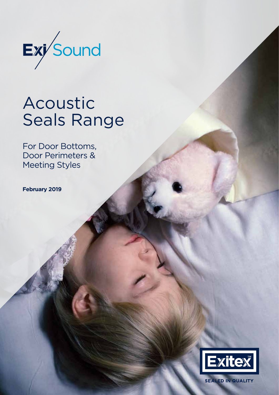

# Acoustic Seals Range

For Door Bottoms, Door Perimeters & Meeting Styles

**February 2019**



**SEALED IN QUALITY**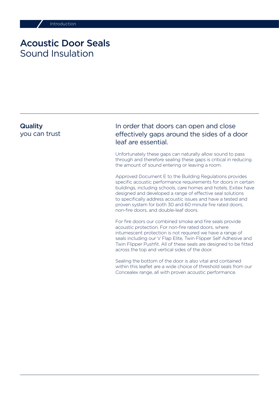### Acoustic Door Seals Sound Insulation

### **Quality** you can trust

### In order that doors can open and close effectively gaps around the sides of a door leaf are essential.

Unfortunately these gaps can naturally allow sound to pass through and therefore sealing these gaps is critical in reducing the amount of sound entering or leaving a room.

Approved Document E to the Building Regulations provides specific acoustic performance requirements for doors in certain buildings, including schools, care homes and hotels. Exitex have designed and developed a range of effective seal solutions to specifically address acoustic issues and have a tested and proven system for both 30 and 60 minute fire rated doors, non-fire doors, and double-leaf doors.

For fire doors our combined smoke and fire seals provide acoustic protection. For non-fire rated doors, where intumescent protection is not required we have a range of seals including our V Flap Elite, Twin Flipper Self Adhesive and Twin Flipper Pushfit. All of these seals are designed to be fitted across the top and vertical sides of the door.

Sealing the bottom of the door is also vital and contained within this leaflet are a wide choice of threshold seals from our Concealex range, all with proven acoustic performance.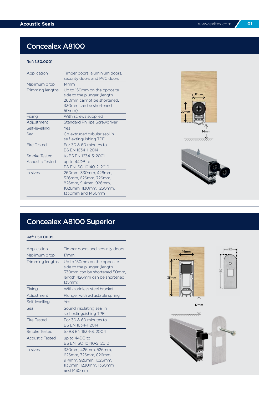### Concealex A8100

#### Ref: 1.50.0001

| Application            | Timber doors, aluminium doors,<br>security doors and PVC doors                                                              |
|------------------------|-----------------------------------------------------------------------------------------------------------------------------|
| Maximum drop           | 14mm                                                                                                                        |
| Trimming lengths       | Up to 150mm on the opposite<br>side to the plunger (length<br>260mm cannot be shortened.<br>330mm can be shortened<br>50mm) |
| Fixing                 | With screws supplied                                                                                                        |
| Adjustment             | <b>Standard Phillips Screwdriver</b>                                                                                        |
| Self-levelling         | Yes                                                                                                                         |
| Seal                   | Co-extruded tubular seal in<br>self-extinguishing TPE                                                                       |
| Fire Tested            | For 30 & 60 minutes to<br>BS EN 1634-1: 2014                                                                                |
| <b>Smoke Tested</b>    | to BS EN 1634-3: 2001                                                                                                       |
| <b>Acoustic Tested</b> | up to 44DB to<br>BS EN ISO 10140-2: 2010                                                                                    |
| In sizes               | 260mm, 330mm, 426mm,<br>526mm, 626mm, 726mm,<br>826mm, 914mm, 926mm,<br>1026mm, 1130mm, 1230mm,<br>1330mm and 1430mm        |





# Concealex A8100 Superior

| Application        | Timber doors and security doors                                                                                                       |
|--------------------|---------------------------------------------------------------------------------------------------------------------------------------|
| Maximum drop       | 17mm                                                                                                                                  |
| Trimming lengths   | Up to 150mm on the opposite<br>side to the plunger (length<br>330mm can be shortened 50mm.<br>length 426mm can be shortened<br>135mm) |
| Fixing             | With stainless steel bracket                                                                                                          |
| Adjustment         | Plunger with adjustable spring                                                                                                        |
| Self-levelling     | Yes                                                                                                                                   |
| Seal               | Sound insulating seal in<br>self-extinguishing TPE                                                                                    |
| <b>Fire Tested</b> | For 30 & 60 minutes to<br>BS FN 1634-1: 2014                                                                                          |
| Smoke Tested       | to BS EN 1634-3: 2004                                                                                                                 |
| Acoustic Tested    | up to 44DB to<br>BS EN ISO 10140-2: 2010                                                                                              |
| In sizes           | 330mm, 426mm, 526mm,<br>626mm, 726mm, 826mm,<br>914mm, 926mm, 1026mm,<br>1130mm, 1230mm, 1330mm<br>and 1430mm                         |

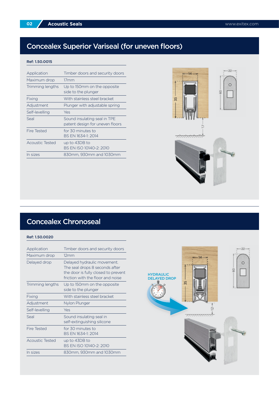## Concealex Superior Variseal (for uneven floors)

#### Ref: 1.50.0015

| Application      | Timber doors and security doors                                 |
|------------------|-----------------------------------------------------------------|
| Maximum drop     | 17mm                                                            |
| Trimming lengths | Up to 150mm on the opposite<br>side to the plunger              |
| Fixing           | With stainless steel bracket                                    |
| Adjustment       | Plunger with adjustable spring                                  |
| Self-levelling   | Yes                                                             |
| Seal             | Sound insulating seal in TPE<br>patent design for uneven floors |
| Fire Tested      | for 30 minutes to<br>BS FN 1634-1: 2014                         |
| Acoustic Tested  | up to 43DB to<br>BS EN ISO 10140-2: 2010                        |
| In sizes         | 830mm, 930mm and 1030mm                                         |



### Concealex Chronoseal

| Application      | Timber doors and security doors                                                                                                           |
|------------------|-------------------------------------------------------------------------------------------------------------------------------------------|
| Maximum drop     | 12mm                                                                                                                                      |
| Delayed drop     | Delayed hydraulic movement.<br>The seal drops 8 seconds after<br>the door is fully closed to prevent<br>friction with the floor and noise |
| Trimming lengths | Up to 150mm on the opposite<br>side to the plunger                                                                                        |
| Fixing           | With stainless steel bracket                                                                                                              |
| Adjustment       | Nylon Plunger                                                                                                                             |
| Self-levelling   | Yes                                                                                                                                       |
| Seal             | Sound insulating seal in<br>self-extinguishing silicone                                                                                   |
| Fire Tested      | for 30 minutes to<br>BS FN 1634-1: 2014                                                                                                   |
| Acoustic Tested  | up to 43DB to<br>BS EN ISO 10140-2: 2010                                                                                                  |
| In sizes         | 830mm, 930mm and 1030mm                                                                                                                   |

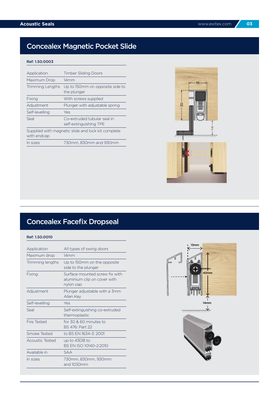## Concealex Magnetic Pocket Slide

#### Ref: 1.50.0003

| Application                                                       | <b>Timber Sliding Doors</b>                           |
|-------------------------------------------------------------------|-------------------------------------------------------|
| Maximum Drop                                                      | 14mm                                                  |
| Trimming Lengths                                                  | Up to 150mm on opposite side to<br>the plunger        |
| Fixing                                                            | With screws supplied                                  |
| Adjustment                                                        | Plunger with adjustable spring                        |
| Self-levelling                                                    | Yes                                                   |
| Seal                                                              | Co-extruded tubular seal in<br>self-extinguishing TPE |
| Supplied with magnetic slide and lock kit complete<br>with endcap |                                                       |
| In sizes                                                          | 730mm, 830mm and 930mm                                |





| Application      | All types of swing doors                                                    |
|------------------|-----------------------------------------------------------------------------|
| Maximum drop     | 14mm                                                                        |
| Trimming lengths | Up to 150mm on the opposite<br>side to the plunger                          |
| Fixing           | Surface mounted screw fix with<br>aluminium clip on cover with<br>nylon cap |
| Adjustment       | Plunger adjustable with a 3mm<br>Allen Key                                  |
| Self-levelling   | Yes                                                                         |
| Seal             | Self-extinguishing co-extruded<br>thermoplastic                             |
| Fire Tested      | for 30 & 60 minutes to<br>BS 476: Part 22                                   |
| Smoke Tested     | to BS EN 1634-3: 2001                                                       |
| Acoustic Tested  | up to 43DB to<br>BS EN ISO 10140-2:2010                                     |
| Available in     | <b>SAA</b>                                                                  |
| In sizes         | 730mm, 830mm, 930mm<br>and 1030mm                                           |

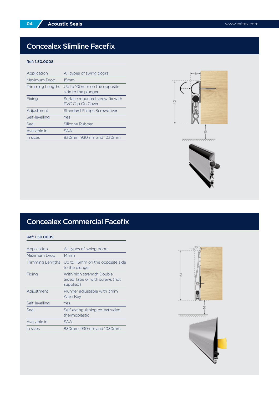### Concealex Slimline Facefix

#### Ref: 1.50.0008

| Application             | All types of swing doors                                   |
|-------------------------|------------------------------------------------------------|
| Maximum Drop            | 15mm                                                       |
| <b>Trimming Lengths</b> | Up to 100mm on the opposite<br>side to the plunger         |
| Fixing                  | Surface mounted screw fix with<br><b>PVC Clip On Cover</b> |
| Adjustment              | <b>Standard Phillips Screwdriver</b>                       |
| Self-levelling          | Yes                                                        |
| Seal                    | Silicone Rubber                                            |
| Available in            | <b>SAA</b>                                                 |
| In sizes                | 830mm. 930mm and 1030mm                                    |



## Concealex Commercial Facefix

| Application      | All types of swing doors                                                 |
|------------------|--------------------------------------------------------------------------|
| Maximum Drop     | 14mm                                                                     |
| Trimming Lengths | Up to 115mm on the opposite side<br>to the plunger                       |
| Fixing           | With high strength Double<br>Sided Tape or with screws (not<br>supplied) |
| Adjustment       | Plunger adjustable with 3mm<br>Allen Key                                 |
| Self-levelling   | Yes                                                                      |
| Seal             | Self-extinguishing co-extruded<br>thermoplastic                          |
| Available in     | SAA                                                                      |
| In sizes         | 830mm, 930mm and 1030mm                                                  |

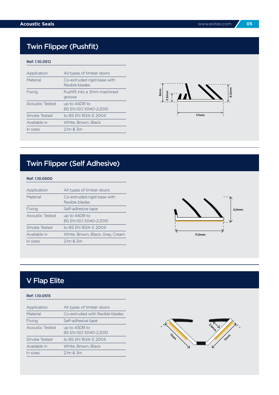## Twin Flipper (Pushfit)

#### Ref: 1.10.051**2**

| Application            | All types of timber doors                      |
|------------------------|------------------------------------------------|
| Material               | Co-extruded rigid base with<br>flexible blades |
| Fixing                 | Pushfit into a 3mm machined<br>groove          |
| <b>Acoustic Tested</b> | up to 44DB to<br>BS EN ISO 10140-2:2010        |
| Smoke Tested           | to BS EN 1634-3: 2004                          |
| Available in           | White, Brown, Black                            |
| In sizes               | $2.1m$ & $3m$                                  |



## Twin Flipper (Self Adhesive)

#### Ref: 1.10.0500

| Application     | All types of timber doors                      |
|-----------------|------------------------------------------------|
| Material        | Co-extruded rigid base with<br>flexible blades |
| Fixing          | Self-adhesive tape                             |
| Acoustic Tested | up to 44DB to<br>BS EN ISO 10140-2:2010        |
| Smoke Tested    | to BS EN 1634-3: 2004                          |
| Available in    | White, Brown, Black, Grey, Cream               |
| In sizes        | $2.1m$ & $3m$                                  |
|                 |                                                |



### V Flap Elite

#### Ref: 1.10.0515

| Application            | All types of timber doors               |
|------------------------|-----------------------------------------|
| Material               | Co-extruded with flexible blades        |
| Fixing                 | Self-adhesive tape                      |
| <b>Acoustic Tested</b> | up to 43DB to<br>BS EN ISO 10140-2:2010 |
| Smoke Tested           | to BS EN 1634-3: 2004                   |
| Available in           | White, Brown, Black                     |
| In sizes               | $2.1m$ & $3m$                           |